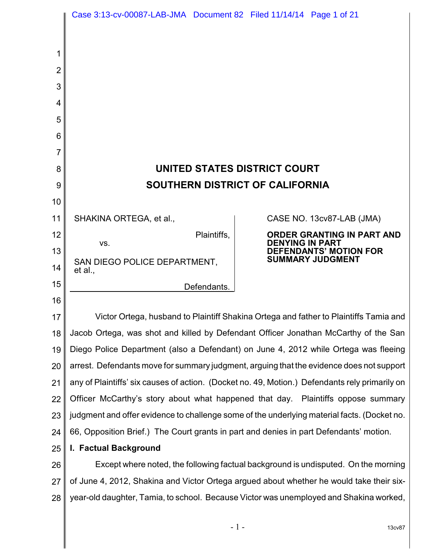|                | Case 3:13-cv-00087-LAB-JMA  Document 82  Filed 11/14/14  Page 1 of 21                          |                                                                                    |                            |
|----------------|------------------------------------------------------------------------------------------------|------------------------------------------------------------------------------------|----------------------------|
|                |                                                                                                |                                                                                    |                            |
| 1              |                                                                                                |                                                                                    |                            |
| $\overline{2}$ |                                                                                                |                                                                                    |                            |
| 3              |                                                                                                |                                                                                    |                            |
| 4              |                                                                                                |                                                                                    |                            |
| 5              |                                                                                                |                                                                                    |                            |
| 6              |                                                                                                |                                                                                    |                            |
| 7              |                                                                                                |                                                                                    |                            |
| 8              | UNITED STATES DISTRICT COURT                                                                   |                                                                                    |                            |
| 9              | SOUTHERN DISTRICT OF CALIFORNIA                                                                |                                                                                    |                            |
| 10             |                                                                                                |                                                                                    |                            |
| 11             | SHAKINA ORTEGA, et al.,                                                                        |                                                                                    | CASE NO. 13cv87-LAB (JMA)  |
| 12             | Plaintiffs,                                                                                    |                                                                                    | ORDER GRANTING IN PART AND |
| 13             | VS.                                                                                            | <b>DENYING IN PART</b><br><b>DEFENDANTS' MOTION FOR</b><br><b>SUMMARY JUDGMENT</b> |                            |
| 14             | SAN DIEGO POLICE DEPARTMENT,<br>et al.,                                                        |                                                                                    |                            |
| 15             | Defendants.                                                                                    |                                                                                    |                            |
| 16             |                                                                                                |                                                                                    |                            |
| 17             | Victor Ortega, husband to Plaintiff Shakina Ortega and father to Plaintiffs Tamia and          |                                                                                    |                            |
| 18             | Jacob Ortega, was shot and killed by Defendant Officer Jonathan McCarthy of the San            |                                                                                    |                            |
| 19             | Diego Police Department (also a Defendant) on June 4, 2012 while Ortega was fleeing            |                                                                                    |                            |
| 20             | arrest. Defendants move for summary judgment, arguing that the evidence does not support       |                                                                                    |                            |
| 21             | any of Plaintiffs' six causes of action. (Docket no. 49, Motion.) Defendants rely primarily on |                                                                                    |                            |
| 22             | Officer McCarthy's story about what happened that day. Plaintiffs oppose summary               |                                                                                    |                            |
| 23             | judgment and offer evidence to challenge some of the underlying material facts. (Docket no.    |                                                                                    |                            |
| 24             | 66, Opposition Brief.) The Court grants in part and denies in part Defendants' motion.         |                                                                                    |                            |
| 25             | I. Factual Background                                                                          |                                                                                    |                            |
| 26             | Except where noted, the following factual background is undisputed. On the morning             |                                                                                    |                            |
| 27             | of June 4, 2012, Shakina and Victor Ortega argued about whether he would take their six-       |                                                                                    |                            |
| 28             | year-old daughter, Tamia, to school. Because Victor was unemployed and Shakina worked,         |                                                                                    |                            |
|                |                                                                                                |                                                                                    |                            |

 $-1$  - 13cv87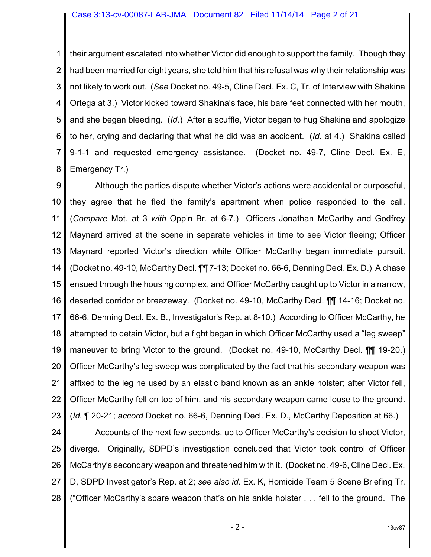1 2 3 4 5 6 7 8 their argument escalated into whether Victor did enough to support the family. Though they had been married for eight years, she told him that his refusal was why their relationship was not likely to work out. (*See* Docket no. 49-5, Cline Decl. Ex. C, Tr. of Interview with Shakina Ortega at 3.) Victor kicked toward Shakina's face, his bare feet connected with her mouth, and she began bleeding. (*Id.*) After a scuffle, Victor began to hug Shakina and apologize to her, crying and declaring that what he did was an accident. (*Id.* at 4.) Shakina called 9-1-1 and requested emergency assistance. (Docket no. 49-7, Cline Decl. Ex. E, Emergency Tr.)

9 10 11 12 13 14 15 16 17 18 19 20 21 22 23 Although the parties dispute whether Victor's actions were accidental or purposeful, they agree that he fled the family's apartment when police responded to the call. (*Compare* Mot. at 3 *with* Opp'n Br. at 6-7.) Officers Jonathan McCarthy and Godfrey Maynard arrived at the scene in separate vehicles in time to see Victor fleeing; Officer Maynard reported Victor's direction while Officer McCarthy began immediate pursuit. (Docket no. 49-10, McCarthy Decl. ¶¶ 7-13; Docket no. 66-6, Denning Decl. Ex. D.) A chase ensued through the housing complex, and Officer McCarthy caught up to Victor in a narrow, deserted corridor or breezeway. (Docket no. 49-10, McCarthy Decl. ¶¶ 14-16; Docket no. 66-6, Denning Decl. Ex. B., Investigator's Rep. at 8-10.) According to Officer McCarthy, he attempted to detain Victor, but a fight began in which Officer McCarthy used a "leg sweep" maneuver to bring Victor to the ground. (Docket no. 49-10, McCarthy Decl. ¶¶ 19-20.) Officer McCarthy's leg sweep was complicated by the fact that his secondary weapon was affixed to the leg he used by an elastic band known as an ankle holster; after Victor fell, Officer McCarthy fell on top of him, and his secondary weapon came loose to the ground. (*Id.* ¶ 20-21; *accord* Docket no. 66-6, Denning Decl. Ex. D., McCarthy Deposition at 66.)

24 25 26 27 28 Accounts of the next few seconds, up to Officer McCarthy's decision to shoot Victor, diverge. Originally, SDPD's investigation concluded that Victor took control of Officer McCarthy's secondary weapon and threatened him with it. (Docket no. 49-6, Cline Decl. Ex. D, SDPD Investigator's Rep. at 2; *see also id.* Ex. K, Homicide Team 5 Scene Briefing Tr. ("Officer McCarthy's spare weapon that's on his ankle holster . . . fell to the ground. The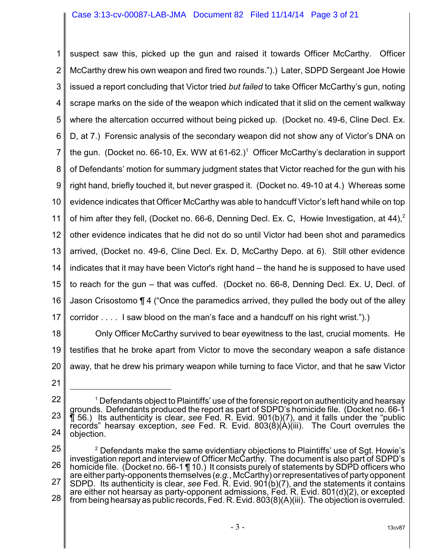1 2 3 4 5 6 7 8 9 10 11 12 13 14 15 16 17 suspect saw this, picked up the gun and raised it towards Officer McCarthy. Officer McCarthy drew his own weapon and fired two rounds.").) Later, SDPD Sergeant Joe Howie issued a report concluding that Victor tried *but failed* to take Officer McCarthy's gun, noting scrape marks on the side of the weapon which indicated that it slid on the cement walkway where the altercation occurred without being picked up. (Docket no. 49-6, Cline Decl. Ex. D, at 7.) Forensic analysis of the secondary weapon did not show any of Victor's DNA on the gun. (Docket no. 66-10, Ex. WW at  $61-62$ .)<sup>1</sup> Officer McCarthy's declaration in support of Defendants' motion for summary judgment states that Victor reached for the gun with his right hand, briefly touched it, but never grasped it. (Docket no. 49-10 at 4.) Whereas some evidence indicates that Officer McCarthy was able to handcuff Victor's left hand while on top of him after they fell, (Docket no. 66-6, Denning Decl. Ex. C, Howie Investigation, at 44),<sup>2</sup> other evidence indicates that he did not do so until Victor had been shot and paramedics arrived, (Docket no. 49-6, Cline Decl. Ex. D, McCarthy Depo. at 6). Still other evidence indicates that it may have been Victor's right hand – the hand he is supposed to have used to reach for the gun – that was cuffed. (Docket no. 66-8, Denning Decl. Ex. U, Decl. of Jason Crisostomo ¶ 4 ("Once the paramedics arrived, they pulled the body out of the alley corridor . . . . I saw blood on the man's face and a handcuff on his right wrist.").)

18 19 20 Only Officer McCarthy survived to bear eyewitness to the last, crucial moments. He testifies that he broke apart from Victor to move the secondary weapon a safe distance away, that he drew his primary weapon while turning to face Victor, and that he saw Victor

<sup>22</sup> 23 24  $^{\rm 1}$  Defendants object to Plaintiffs' use of the forensic report on authenticity and hearsay  $^{\rm 1}$ grounds. Defendants produced the report as part of SDPD's homicide file. (Docket no. 66-1 ¶ 56.) Its authenticity is clear, *see* Fed. R. Evid. 901(b)(7), and it falls under the "public records" hearsay exception, *see* Fed. R. Evid. 803(8)(A)(iii). The Court overrules the objection.

<sup>25</sup> 26 27 28  $2$  Defendants make the same evidentiary objections to Plaintiffs' use of Sgt. Howie's investigation report and interview of Officer McCarthy. The document is also part of SDPD's homicide file. (Docket no. 66-1 ¶ 10.) It consists purely of statements by SDPD officers who are either party-opponents themselves (*e.g.*, McCarthy) or representatives of party opponent SDPD. Its authenticity is clear, *see* Fed. R. Evid. 901(b)(7), and the statements it contains are either not hearsay as party-opponent admissions, Fed. R. Evid. 801(d)(2), or excepted from being hearsay as public records, Fed. R. Evid. 803(8)(A)(iii). The objection is overruled.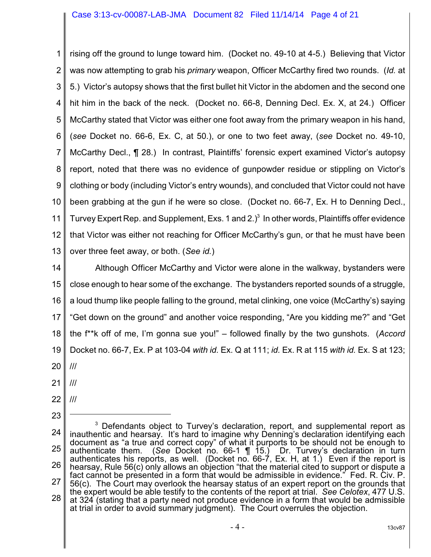#### Case 3:13-cv-00087-LAB-JMA Document 82 Filed 11/14/14 Page 4 of 21

1 2 3 4 5 6 7 8 9 10 11 12 13 rising off the ground to lunge toward him. (Docket no. 49-10 at 4-5.) Believing that Victor was now attempting to grab his *primary* weapon, Officer McCarthy fired two rounds. (*Id.* at 5.) Victor's autopsy shows that the first bullet hit Victor in the abdomen and the second one hit him in the back of the neck. (Docket no. 66-8, Denning Decl. Ex. X, at 24.) Officer McCarthy stated that Victor was either one foot away from the primary weapon in his hand, (*see* Docket no. 66-6, Ex. C, at 50.), or one to two feet away, (*see* Docket no. 49-10, McCarthy Decl., ¶ 28.) In contrast, Plaintiffs' forensic expert examined Victor's autopsy report, noted that there was no evidence of gunpowder residue or stippling on Victor's clothing or body (including Victor's entry wounds), and concluded that Victor could not have been grabbing at the gun if he were so close. (Docket no. 66-7, Ex. H to Denning Decl., Turvey Expert Rep. and Supplement, Exs. 1 and 2. $)$ <sup>3</sup> In other words, Plaintiffs offer evidence that Victor was either not reaching for Officer McCarthy's gun, or that he must have been over three feet away, or both. (*See id.*)

14 15 16 17 18 19 20 Although Officer McCarthy and Victor were alone in the walkway, bystanders were close enough to hear some of the exchange. The bystanders reported sounds of a struggle, a loud thump like people falling to the ground, metal clinking, one voice (McCarthy's) saying "Get down on the ground" and another voice responding, "Are you kidding me?" and "Get the f\*\*k off of me, I'm gonna sue you!" – followed finally by the two gunshots. (*Accord* Docket no. 66-7, Ex. P at 103-04 *with id.* Ex. Q at 111; *id.* Ex. R at 115 *with id.* Ex. S at 123; ///

- 
- 21 ///
- 22 ///

23

24 25 26 27 28  $3$  Defendants object to Turvey's declaration, report, and supplemental report as inauthentic and hearsay. It's hard to imagine why Denning's declaration identifying each document as "a true and correct copy" of what it purports to be should not be enough to authenticate them. (See Docket no. 66-1 ¶ 15.) Dr. Turvey's declaration in turn authenticates his reports, as well. (Docket no. 66-7, Ex. H, at 1.) Even if the report is hearsay, Rule 56(c) only allows an objection "that the material cited to support or dispute a fact cannot be presented in a form that would be admissible in evidence." Fed. R. Civ. P. 56(c). The Court may overlook the hearsay status of an expert report on the grounds that the expert would be able testify to the contents of the report at trial. *See Celotex*, 477 U.S. at 324 (stating that a party need not produce evidence in a form that would be admissible at trial in order to avoid summary judgment). The Court overrules the objection.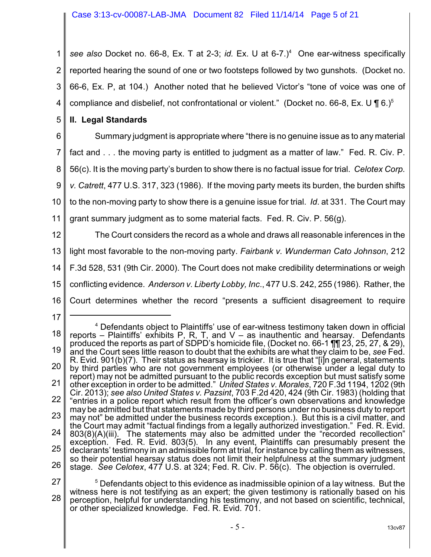1 2 3 4 *see also* Docket no. 66-8, Ex. T at 2-3; *id.* Ex. U at 6-7.)<sup>4</sup> One ear-witness specifically reported hearing the sound of one or two footsteps followed by two gunshots. (Docket no. 66-6, Ex. P, at 104.) Another noted that he believed Victor's "tone of voice was one of compliance and disbelief, not confrontational or violent." (Docket no. 66-8, Ex. U  $\P$  6.)<sup>5</sup>

5 **II. Legal Standards**

6 7 8 9 10 11 Summary judgment is appropriate where "there is no genuine issue as to any material fact and . . . the moving party is entitled to judgment as a matter of law." Fed. R. Civ. P. 56(c). It is the moving party's burden to show there is no factual issue for trial. *Celotex Corp. v. Catrett*, 477 U.S. 317, 323 (1986). If the moving party meets its burden, the burden shifts to the non-moving party to show there is a genuine issue for trial. *Id*. at 331. The Court may grant summary judgment as to some material facts. Fed. R. Civ. P. 56(g).

12 13 14 15 16 The Court considers the record as a whole and draws all reasonable inferences in the light most favorable to the non-moving party. *Fairbank v. Wunderman Cato Johnson*, 212 F.3d 528, 531 (9th Cir. 2000). The Court does not make credibility determinations or weigh conflicting evidence. *Anderson v. Liberty Lobby, Inc*., 477 U.S. 242, 255 (1986). Rather, the Court determines whether the record "presents a sufficient disagreement to require

<sup>18</sup> 19 20 21 22 23 24 25 26 <sup>4</sup> Defendants object to Plaintiffs' use of ear-witness testimony taken down in official reports – Plaintiffs' exhibits P, R, T, and  $V -$  as inauthentic and hearsay. Defendants produced the reports as part of SDPD's homicide file, (Docket no. 66-1 ¶¶ 23, 25, 27, & 29), and the Court sees little reason to doubt that the exhibits are what they claim to be, *see* Fed. R. Evid. 901(b)(7). Their status as hearsay is trickier. It is true that "[i]n general, statements by third parties who are not government employees (or otherwise under a legal duty to report) may not be admitted pursuant to the public records exception but must satisfy some other exception in order to be admitted." *United States v. Morales*, 720 F.3d 1194, 1202 (9th Cir. 2013); *see also United States v. Pazsint*, 703 F.2d 420, 424 (9th Cir. 1983) (holding that "entries in a police report which result from the officer's own observations and knowledge may be admitted but that statements made by third persons under no business duty to report may not" be admitted under the business records exception.). But this is a civil matter, and the Court may admit "factual findings from a legally authorized investigation." Fed. R. Evid. 803(8)(A)(iii). The statements may also be admitted under the "recorded recollection" exception. Fed. R. Evid. 803(5). In any event, Plaintiffs can presumably present the declarants' testimony in an admissible form at trial, for instance by calling them as witnesses, so their potential hearsay status does not limit their helpfulness at the summary judgment stage. *See Celotex*, 477 U.S. at 324; Fed. R. Civ. P. 56(c). The objection is overruled.

<sup>27</sup> 28  $5$  Defendants object to this evidence as inadmissible opinion of a lay witness. But the witness here is not testifying as an expert; the given testimony is rationally based on his perception, helpful for understanding his testimony, and not based on scientific, technical, or other specialized knowledge. Fed. R. Evid. 701.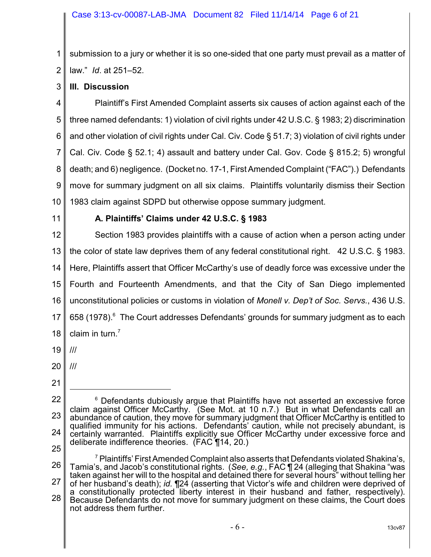1 2 submission to a jury or whether it is so one-sided that one party must prevail as a matter of law." *Id*. at 251–52.

3 **III. Discussion**

4 5 6 7 8 9 10 Plaintiff's First Amended Complaint asserts six causes of action against each of the three named defendants: 1) violation of civil rights under 42 U.S.C. § 1983; 2) discrimination and other violation of civil rights under Cal. Civ. Code § 51.7; 3) violation of civil rights under Cal. Civ. Code § 52.1; 4) assault and battery under Cal. Gov. Code § 815.2; 5) wrongful death; and 6) negligence. (Docket no. 17-1, First Amended Complaint ("FAC").) Defendants move for summary judgment on all six claims. Plaintiffs voluntarily dismiss their Section 1983 claim against SDPD but otherwise oppose summary judgment.

11

#### **A. Plaintiffs' Claims under 42 U.S.C. § 1983**

12 13 14 15 16 17 18 Section 1983 provides plaintiffs with a cause of action when a person acting under the color of state law deprives them of any federal constitutional right. 42 U.S.C. § 1983. Here, Plaintiffs assert that Officer McCarthy's use of deadly force was excessive under the Fourth and Fourteenth Amendments, and that the City of San Diego implemented unconstitutional policies or customs in violation of *Monell v. Dep't of Soc. Servs.*, 436 U.S. 658 (1978). <sup>6</sup> The Court addresses Defendants' grounds for summary judgment as to each claim in turn. $<sup>7</sup>$ </sup>

- 19 ///
- 20 ///
- 21

<sup>22</sup> 23 24 25  $6$  Defendants dubiously argue that Plaintiffs have not asserted an excessive force claim against Officer McCarthy. (See Mot. at 10 n.7.) But in what Defendants call an abundance of caution, they move for summary judgment that Officer McCarthy is entitled to qualified immunity for his actions. Defendants' caution, while not precisely abundant, is certainly warranted. Plaintiffs explicitly sue Officer McCarthy under excessive force and deliberate indifference theories. (FAC ¶14, 20.)

<sup>26</sup> 27 28  $\mathrm{^7}$  Plaintiffs' First Amended Complaint also asserts that Defendants violated Shakina's, Tamia's, and Jacob's constitutional rights. (*See, e.g.*, FAC ¶ 24 (alleging that Shakina "was taken against her will to the hospital and detained there for several hours" without telling her of her husband's death); *id.* ¶24 (asserting that Victor's wife and children were deprived of a constitutionally protected liberty interest in their husband and father, respectively). Because Defendants do not move for summary judgment on these claims, the Court does not address them further.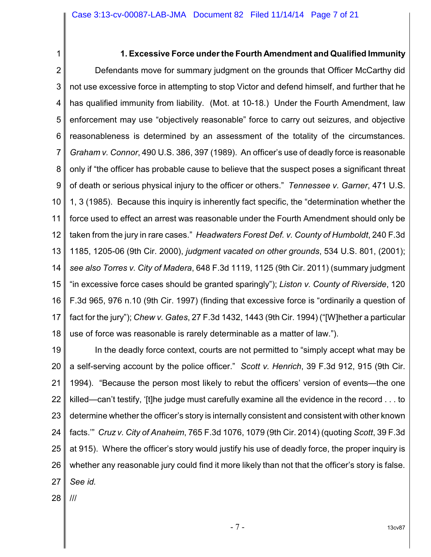#### **1. Excessive Force under the Fourth Amendment and Qualified Immunity**

2 3 4 5 6 7 8 9 10 11 12 13 14 15 16 17 18 Defendants move for summary judgment on the grounds that Officer McCarthy did not use excessive force in attempting to stop Victor and defend himself, and further that he has qualified immunity from liability. (Mot. at 10-18.) Under the Fourth Amendment, law enforcement may use "objectively reasonable" force to carry out seizures, and objective reasonableness is determined by an assessment of the totality of the circumstances. *Graham v. Connor*, 490 U.S. 386, 397 (1989). An officer's use of deadly force is reasonable only if "the officer has probable cause to believe that the suspect poses a significant threat of death or serious physical injury to the officer or others." *Tennessee v. Garner*, 471 U.S. 1, 3 (1985). Because this inquiry is inherently fact specific, the "determination whether the force used to effect an arrest was reasonable under the Fourth Amendment should only be taken from the jury in rare cases." *Headwaters Forest Def. v. County of Humboldt*, 240 F.3d 1185, 1205-06 (9th Cir. 2000), *judgment vacated on other grounds*, 534 U.S. 801, (2001); *see also Torres v. City of Madera*, 648 F.3d 1119, 1125 (9th Cir. 2011) (summary judgment "in excessive force cases should be granted sparingly"); *Liston v. County of Riverside*, 120 F.3d 965, 976 n.10 (9th Cir. 1997) (finding that excessive force is "ordinarily a question of fact for the jury"); *Chew v. Gates*, 27 F.3d 1432, 1443 (9th Cir. 1994) ("[W]hether a particular use of force was reasonable is rarely determinable as a matter of law.").

19 20 21 22 23 24 25 26 27 In the deadly force context, courts are not permitted to "simply accept what may be a self-serving account by the police officer." *Scott v. Henrich*, 39 F.3d 912, 915 (9th Cir. 1994). "Because the person most likely to rebut the officers' version of events—the one killed—can't testify, '[t]he judge must carefully examine all the evidence in the record . . . to determine whether the officer's story is internally consistent and consistent with other known facts.'" *Cruz v. City of Anaheim*, 765 F.3d 1076, 1079 (9th Cir. 2014) (quoting *Scott*, 39 F.3d at 915). Where the officer's story would justify his use of deadly force, the proper inquiry is whether any reasonable jury could find it more likely than not that the officer's story is false. *See id.*

28 ///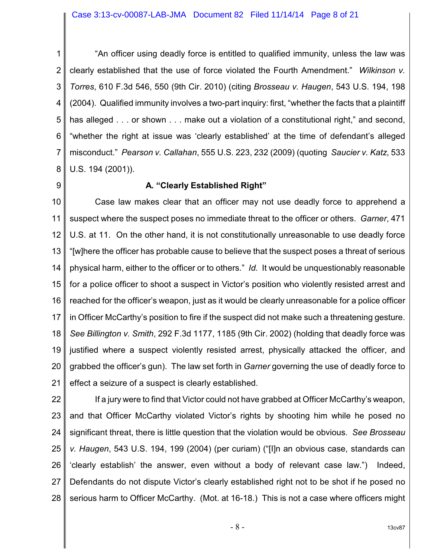1 2 3 4 5 6 7 8 "An officer using deadly force is entitled to qualified immunity, unless the law was clearly established that the use of force violated the Fourth Amendment." *Wilkinson v. Torres*, 610 F.3d 546, 550 (9th Cir. 2010) (citing *Brosseau v. Haugen*, 543 U.S. 194, 198 (2004). Qualified immunity involves a two-part inquiry: first, "whether the facts that a plaintiff has alleged . . . or shown . . . make out a violation of a constitutional right," and second, "whether the right at issue was 'clearly established' at the time of defendant's alleged misconduct." *Pearson v. Callahan*, 555 U.S. 223, 232 (2009) (quoting *Saucier v. Katz*, 533 U.S. 194 (2001)).

9

#### **A. "Clearly Established Right"**

10 11 12 13 14 15 16 17 18 19 20 21 Case law makes clear that an officer may not use deadly force to apprehend a suspect where the suspect poses no immediate threat to the officer or others. *Garner*, 471 U.S. at 11. On the other hand, it is not constitutionally unreasonable to use deadly force "[w]here the officer has probable cause to believe that the suspect poses a threat of serious physical harm, either to the officer or to others." *Id.* It would be unquestionably reasonable for a police officer to shoot a suspect in Victor's position who violently resisted arrest and reached for the officer's weapon, just as it would be clearly unreasonable for a police officer in Officer McCarthy's position to fire if the suspect did not make such a threatening gesture. *See Billington v. Smith*, 292 F.3d 1177, 1185 (9th Cir. 2002) (holding that deadly force was justified where a suspect violently resisted arrest, physically attacked the officer, and grabbed the officer's gun). The law set forth in *Garner* governing the use of deadly force to effect a seizure of a suspect is clearly established.

22 23 24 25 26 27 28 If a jury were to find that Victor could not have grabbed at Officer McCarthy's weapon, and that Officer McCarthy violated Victor's rights by shooting him while he posed no significant threat, there is little question that the violation would be obvious. *See Brosseau v. Haugen*, 543 U.S. 194, 199 (2004) (per curiam) ("[I]n an obvious case, standards can 'clearly establish' the answer, even without a body of relevant case law.") Indeed, Defendants do not dispute Victor's clearly established right not to be shot if he posed no serious harm to Officer McCarthy. (Mot. at 16-18.) This is not a case where officers might

- 8 - 13cv87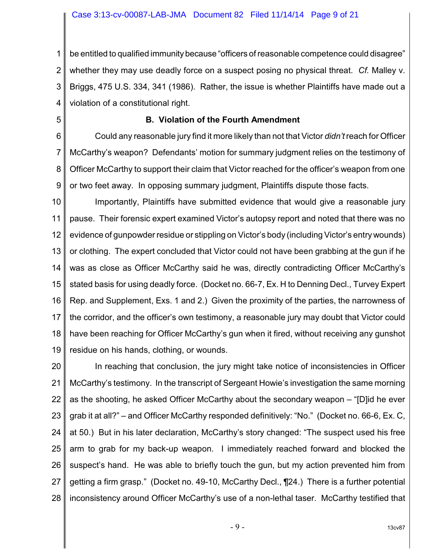1 2 3 4 be entitled to qualified immunity because "officers of reasonable competence could disagree" whether they may use deadly force on a suspect posing no physical threat. *Cf.* Malley v. Briggs, 475 U.S. 334, 341 (1986). Rather, the issue is whether Plaintiffs have made out a violation of a constitutional right.

5

## **B. Violation of the Fourth Amendment**

6 7 8 9 Could any reasonable jury find it more likely than not that Victor *didn't* reach for Officer McCarthy's weapon? Defendants' motion for summary judgment relies on the testimony of Officer McCarthy to support their claim that Victor reached for the officer's weapon from one or two feet away. In opposing summary judgment, Plaintiffs dispute those facts.

10 11 12 13 14 15 16 17 18 19 Importantly, Plaintiffs have submitted evidence that would give a reasonable jury pause. Their forensic expert examined Victor's autopsy report and noted that there was no evidence of gunpowder residue or stippling on Victor's body (including Victor's entry wounds) or clothing. The expert concluded that Victor could not have been grabbing at the gun if he was as close as Officer McCarthy said he was, directly contradicting Officer McCarthy's stated basis for using deadly force. (Docket no. 66-7, Ex. H to Denning Decl., Turvey Expert Rep. and Supplement, Exs. 1 and 2.) Given the proximity of the parties, the narrowness of the corridor, and the officer's own testimony, a reasonable jury may doubt that Victor could have been reaching for Officer McCarthy's gun when it fired, without receiving any gunshot residue on his hands, clothing, or wounds.

20 21 22 23 24 25 26 27 28 In reaching that conclusion, the jury might take notice of inconsistencies in Officer McCarthy's testimony. In the transcript of Sergeant Howie's investigation the same morning as the shooting, he asked Officer McCarthy about the secondary weapon – "[D]id he ever grab it at all?" – and Officer McCarthy responded definitively: "No." (Docket no. 66-6, Ex. C, at 50.) But in his later declaration, McCarthy's story changed: "The suspect used his free arm to grab for my back-up weapon. I immediately reached forward and blocked the suspect's hand. He was able to briefly touch the gun, but my action prevented him from getting a firm grasp." (Docket no. 49-10, McCarthy Decl., ¶24.) There is a further potential inconsistency around Officer McCarthy's use of a non-lethal taser. McCarthy testified that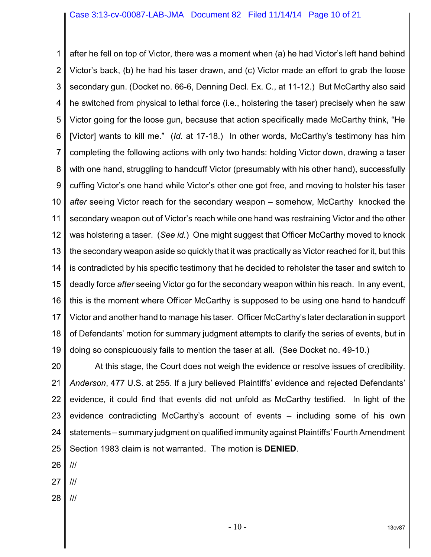1 2 3 4 5 6 7 8 9 10 11 12 13 14 15 16 17 18 19 after he fell on top of Victor, there was a moment when (a) he had Victor's left hand behind Victor's back, (b) he had his taser drawn, and (c) Victor made an effort to grab the loose secondary gun. (Docket no. 66-6, Denning Decl. Ex. C., at 11-12.) But McCarthy also said he switched from physical to lethal force (i.e., holstering the taser) precisely when he saw Victor going for the loose gun, because that action specifically made McCarthy think, "He [Victor] wants to kill me." (*Id.* at 17-18.) In other words, McCarthy's testimony has him completing the following actions with only two hands: holding Victor down, drawing a taser with one hand, struggling to handcuff Victor (presumably with his other hand), successfully cuffing Victor's one hand while Victor's other one got free, and moving to holster his taser *after* seeing Victor reach for the secondary weapon – somehow, McCarthy knocked the secondary weapon out of Victor's reach while one hand was restraining Victor and the other was holstering a taser. (*See id.*) One might suggest that Officer McCarthy moved to knock the secondary weapon aside so quickly that it was practically as Victor reached for it, but this is contradicted by his specific testimony that he decided to reholster the taser and switch to deadly force *after* seeing Victor go for the secondary weapon within his reach. In any event, this is the moment where Officer McCarthy is supposed to be using one hand to handcuff Victor and another hand to manage his taser. Officer McCarthy's later declaration in support of Defendants' motion for summary judgment attempts to clarify the series of events, but in doing so conspicuously fails to mention the taser at all. (See Docket no. 49-10.)

20 21 22 23 24 25 At this stage, the Court does not weigh the evidence or resolve issues of credibility. *Anderson*, 477 U.S. at 255. If a jury believed Plaintiffs' evidence and rejected Defendants' evidence, it could find that events did not unfold as McCarthy testified. In light of the evidence contradicting McCarthy's account of events – including some of his own statements – summary judgment on qualified immunity against Plaintiffs' Fourth Amendment Section 1983 claim is not warranted. The motion is **DENIED**.

26 ///

27 ///

28 ///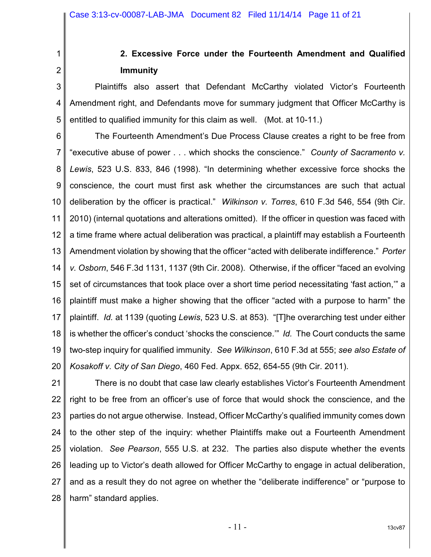2

1

# **2. Excessive Force under the Fourteenth Amendment and Qualified Immunity**

3 4 5 Plaintiffs also assert that Defendant McCarthy violated Victor's Fourteenth Amendment right, and Defendants move for summary judgment that Officer McCarthy is entitled to qualified immunity for this claim as well. (Mot. at 10-11.)

6 7 8 9 10 11 12 13 14 15 16 17 18 19 20 The Fourteenth Amendment's Due Process Clause creates a right to be free from "executive abuse of power . . . which shocks the conscience." *County of Sacramento v. Lewis*, 523 U.S. 833, 846 (1998). "In determining whether excessive force shocks the conscience, the court must first ask whether the circumstances are such that actual deliberation by the officer is practical." *Wilkinson v. Torres*, 610 F.3d 546, 554 (9th Cir. 2010) (internal quotations and alterations omitted). If the officer in question was faced with a time frame where actual deliberation was practical, a plaintiff may establish a Fourteenth Amendment violation by showing that the officer "acted with deliberate indifference." *Porter v. Osborn*, 546 F.3d 1131, 1137 (9th Cir. 2008). Otherwise, if the officer "faced an evolving set of circumstances that took place over a short time period necessitating 'fast action,'" a plaintiff must make a higher showing that the officer "acted with a purpose to harm" the plaintiff. *Id.* at 1139 (quoting *Lewis*, 523 U.S. at 853). "[T]he overarching test under either is whether the officer's conduct 'shocks the conscience.'" *Id.* The Court conducts the same two-step inquiry for qualified immunity. *See Wilkinson*, 610 F.3d at 555; *see also Estate of Kosakoff v. City of San Diego*, 460 Fed. Appx. 652, 654-55 (9th Cir. 2011).

21 22 23 24 25 26 27 28 There is no doubt that case law clearly establishes Victor's Fourteenth Amendment right to be free from an officer's use of force that would shock the conscience, and the parties do not argue otherwise. Instead, Officer McCarthy's qualified immunity comes down to the other step of the inquiry: whether Plaintiffs make out a Fourteenth Amendment violation. *See Pearson*, 555 U.S. at 232. The parties also dispute whether the events leading up to Victor's death allowed for Officer McCarthy to engage in actual deliberation, and as a result they do not agree on whether the "deliberate indifference" or "purpose to harm" standard applies.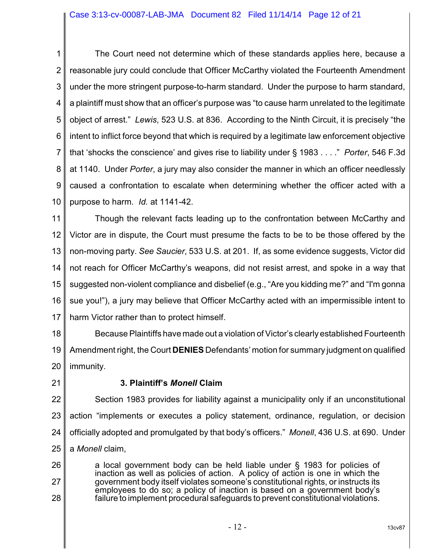1 2 3 4 5 6 7 8 9 10 The Court need not determine which of these standards applies here, because a reasonable jury could conclude that Officer McCarthy violated the Fourteenth Amendment under the more stringent purpose-to-harm standard. Under the purpose to harm standard, a plaintiff must show that an officer's purpose was "to cause harm unrelated to the legitimate object of arrest." *Lewis*, 523 U.S. at 836. According to the Ninth Circuit, it is precisely "the intent to inflict force beyond that which is required by a legitimate law enforcement objective that 'shocks the conscience' and gives rise to liability under § 1983 . . . ." *Porter*, 546 F.3d at 1140. Under *Porter*, a jury may also consider the manner in which an officer needlessly caused a confrontation to escalate when determining whether the officer acted with a purpose to harm. *Id.* at 1141-42.

11 12 13 14 15 16 17 Though the relevant facts leading up to the confrontation between McCarthy and Victor are in dispute, the Court must presume the facts to be to be those offered by the non-moving party. *See Saucier*, 533 U.S. at 201. If, as some evidence suggests, Victor did not reach for Officer McCarthy's weapons, did not resist arrest, and spoke in a way that suggested non-violent compliance and disbelief (e.g., "Are you kidding me?" and "I'm gonna sue you!"), a jury may believe that Officer McCarthy acted with an impermissible intent to harm Victor rather than to protect himself.

18 19 20 Because Plaintiffs have made out a violation of Victor's clearly established Fourteenth Amendment right, the Court **DENIES** Defendants' motion for summary judgment on qualified immunity.

21

# **3. Plaintiff's** *Monell* **Claim**

22 23 24 25 Section 1983 provides for liability against a municipality only if an unconstitutional action "implements or executes a policy statement, ordinance, regulation, or decision officially adopted and promulgated by that body's officers." *Monell*, 436 U.S. at 690. Under a *Monell* claim,

26 27 28 a local government body can be held liable under § 1983 for policies of inaction as well as policies of action. A policy of action is one in which the government body itself violates someone's constitutional rights, or instructs its employees to do so; a policy of inaction is based on a government body's failure to implement procedural safeguards to prevent constitutional violations.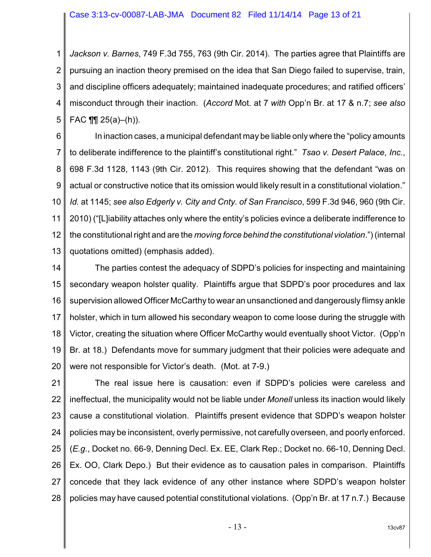1 2 3 4 5 *Jackson v. Barnes*, 749 F.3d 755, 763 (9th Cir. 2014). The parties agree that Plaintiffs are pursuing an inaction theory premised on the idea that San Diego failed to supervise, train, and discipline officers adequately; maintained inadequate procedures; and ratified officers' misconduct through their inaction. (*Accord* Mot. at 7 *with* Opp'n Br. at 17 & n.7; *see also* FAC  $\P$   $\qquad$   $25(a)$ –(h)).

6 7 8 9 10 11 12 13 In inaction cases, a municipal defendant may be liable only where the "policy amounts to deliberate indifference to the plaintiff's constitutional right." *Tsao v. Desert Palace, Inc.*, 698 F.3d 1128, 1143 (9th Cir. 2012). This requires showing that the defendant "was on actual or constructive notice that its omission would likely result in a constitutional violation." *Id.* at 1145; *see also Edgerly v. City and Cnty. of San Francisco*, 599 F.3d 946, 960 (9th Cir. 2010) ("[L]iability attaches only where the entity's policies evince a deliberate indifference to the constitutional right and are the *moving force behind the constitutional violation*.") (internal quotations omitted) (emphasis added).

14 15 16 17 18 19 20 The parties contest the adequacy of SDPD's policies for inspecting and maintaining secondary weapon holster quality. Plaintiffs argue that SDPD's poor procedures and lax supervision allowed Officer McCarthy to wear an unsanctioned and dangerously flimsy ankle holster, which in turn allowed his secondary weapon to come loose during the struggle with Victor, creating the situation where Officer McCarthy would eventually shoot Victor. (Opp'n Br. at 18.) Defendants move for summary judgment that their policies were adequate and were not responsible for Victor's death. (Mot. at 7-9.)

21 22 23 24 25 26 27 28 The real issue here is causation: even if SDPD's policies were careless and ineffectual, the municipality would not be liable under *Monell* unless its inaction would likely cause a constitutional violation. Plaintiffs present evidence that SDPD's weapon holster policies may be inconsistent, overly permissive, not carefully overseen, and poorly enforced. (*E.g.*, Docket no. 66-9, Denning Decl. Ex. EE, Clark Rep.; Docket no. 66-10, Denning Decl. Ex. OO, Clark Depo.) But their evidence as to causation pales in comparison. Plaintiffs concede that they lack evidence of any other instance where SDPD's weapon holster policies may have caused potential constitutional violations. (Opp'n Br. at 17 n.7.) Because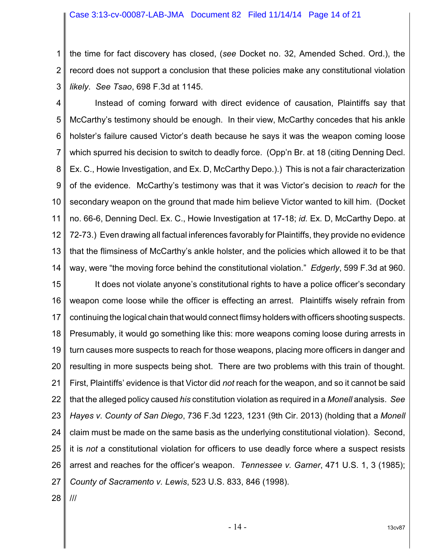#### Case 3:13-cv-00087-LAB-JMA Document 82 Filed 11/14/14 Page 14 of 21

1 2 3 the time for fact discovery has closed, (*see* Docket no. 32, Amended Sched. Ord.), the record does not support a conclusion that these policies make any constitutional violation *likely*. *See Tsao*, 698 F.3d at 1145.

4 5 6 7 8 9 10 11 12 13 14 Instead of coming forward with direct evidence of causation, Plaintiffs say that McCarthy's testimony should be enough. In their view, McCarthy concedes that his ankle holster's failure caused Victor's death because he says it was the weapon coming loose which spurred his decision to switch to deadly force. (Opp'n Br. at 18 (citing Denning Decl. Ex. C., Howie Investigation, and Ex. D, McCarthy Depo.).) This is not a fair characterization of the evidence. McCarthy's testimony was that it was Victor's decision to *reach* for the secondary weapon on the ground that made him believe Victor wanted to kill him. (Docket no. 66-6, Denning Decl. Ex. C., Howie Investigation at 17-18; *id.* Ex. D, McCarthy Depo. at 72-73.) Even drawing all factual inferences favorably for Plaintiffs, they provide no evidence that the flimsiness of McCarthy's ankle holster, and the policies which allowed it to be that way, were "the moving force behind the constitutional violation." *Edgerly*, 599 F.3d at 960.

15 16 17 18 19 20 21 22 23 24 25 26 27 It does not violate anyone's constitutional rights to have a police officer's secondary weapon come loose while the officer is effecting an arrest. Plaintiffs wisely refrain from continuing the logical chain that would connect flimsy holders with officers shooting suspects. Presumably, it would go something like this: more weapons coming loose during arrests in turn causes more suspects to reach for those weapons, placing more officers in danger and resulting in more suspects being shot. There are two problems with this train of thought. First, Plaintiffs' evidence is that Victor did *not* reach for the weapon, and so it cannot be said that the alleged policy caused *his* constitution violation as required in a *Monell* analysis. *See Hayes v. County of San Diego*, 736 F.3d 1223, 1231 (9th Cir. 2013) (holding that a *Monell* claim must be made on the same basis as the underlying constitutional violation). Second, it is *not* a constitutional violation for officers to use deadly force where a suspect resists arrest and reaches for the officer's weapon. *Tennessee v. Garner*, 471 U.S. 1, 3 (1985); *County of Sacramento v. Lewis*, 523 U.S. 833, 846 (1998).

28 ///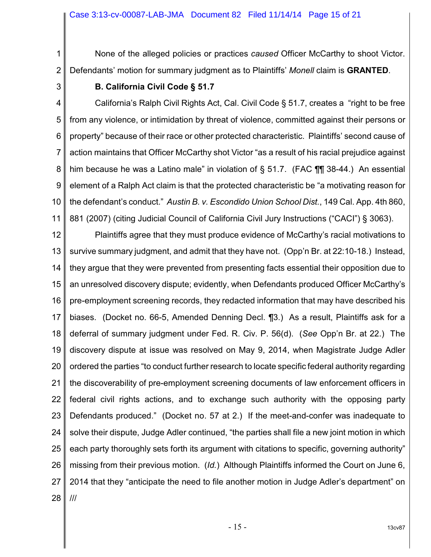1 2 None of the alleged policies or practices *caused* Officer McCarthy to shoot Victor. Defendants' motion for summary judgment as to Plaintiffs' *Monell* claim is **GRANTED**.

3

#### **B. California Civil Code § 51.7**

4 5 6 7 8 9 10 11 California's Ralph Civil Rights Act, Cal. Civil Code § 51.7, creates a "right to be free from any violence, or intimidation by threat of violence, committed against their persons or property" because of their race or other protected characteristic. Plaintiffs' second cause of action maintains that Officer McCarthy shot Victor "as a result of his racial prejudice against him because he was a Latino male" in violation of  $\S$  51.7. (FAC  $\P$   $\P$  38-44.) An essential element of a Ralph Act claim is that the protected characteristic be "a motivating reason for the defendant's conduct." *Austin B. v. Escondido Union School Dist.*, 149 Cal. App. 4th 860, 881 (2007) (citing Judicial Council of California Civil Jury Instructions ("CACI") § 3063).

12 13 14 15 16 17 18 19 20 21 22 23 24 25 26 27 28 Plaintiffs agree that they must produce evidence of McCarthy's racial motivations to survive summary judgment, and admit that they have not. (Opp'n Br. at 22:10-18.) Instead, they argue that they were prevented from presenting facts essential their opposition due to an unresolved discovery dispute; evidently, when Defendants produced Officer McCarthy's pre-employment screening records, they redacted information that may have described his biases. (Docket no. 66-5, Amended Denning Decl. ¶3.) As a result, Plaintiffs ask for a deferral of summary judgment under Fed. R. Civ. P. 56(d). (*See* Opp'n Br. at 22.) The discovery dispute at issue was resolved on May 9, 2014, when Magistrate Judge Adler ordered the parties "to conduct further research to locate specific federal authority regarding the discoverability of pre-employment screening documents of law enforcement officers in federal civil rights actions, and to exchange such authority with the opposing party Defendants produced." (Docket no. 57 at 2.) If the meet-and-confer was inadequate to solve their dispute, Judge Adler continued, "the parties shall file a new joint motion in which each party thoroughly sets forth its argument with citations to specific, governing authority" missing from their previous motion. (*Id.*) Although Plaintiffs informed the Court on June 6, 2014 that they "anticipate the need to file another motion in Judge Adler's department" on ///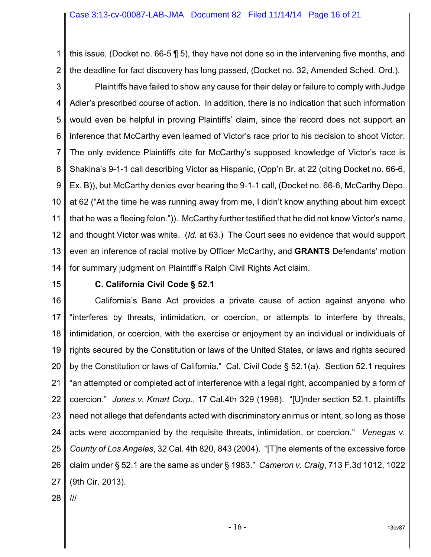1 2 this issue, (Docket no. 66-5 ¶ 5), they have not done so in the intervening five months, and the deadline for fact discovery has long passed, (Docket no. 32, Amended Sched. Ord.).

3 4 5 6 7 8 9 10 11 12 13 14 Plaintiffs have failed to show any cause for their delay or failure to comply with Judge Adler's prescribed course of action. In addition, there is no indication that such information would even be helpful in proving Plaintiffs' claim, since the record does not support an inference that McCarthy even learned of Victor's race prior to his decision to shoot Victor. The only evidence Plaintiffs cite for McCarthy's supposed knowledge of Victor's race is Shakina's 9-1-1 call describing Victor as Hispanic, (Opp'n Br. at 22 (citing Docket no. 66-6, Ex. B)), but McCarthy denies ever hearing the 9-1-1 call, (Docket no. 66-6, McCarthy Depo. at 62 ("At the time he was running away from me, I didn't know anything about him except that he was a fleeing felon.")). McCarthy further testified that he did not know Victor's name, and thought Victor was white. (*Id.* at 63.) The Court sees no evidence that would support even an inference of racial motive by Officer McCarthy, and **GRANTS** Defendants' motion for summary judgment on Plaintiff's Ralph Civil Rights Act claim.

15

#### **C. California Civil Code § 52.1**

16 17 18 19 20 21 22 23 24 25 26 27 California's Bane Act provides a private cause of action against anyone who "interferes by threats, intimidation, or coercion, or attempts to interfere by threats, intimidation, or coercion, with the exercise or enjoyment by an individual or individuals of rights secured by the Constitution or laws of the United States, or laws and rights secured by the Constitution or laws of California." Cal. Civil Code § 52.1(a). Section 52.1 requires "an attempted or completed act of interference with a legal right, accompanied by a form of coercion." *Jones v. Kmart Corp.*, 17 Cal.4th 329 (1998). "[U]nder section 52.1, plaintiffs need not allege that defendants acted with discriminatory animus or intent, so long as those acts were accompanied by the requisite threats, intimidation, or coercion." *Venegas v. County of Los Angeles*, 32 Cal. 4th 820, 843 (2004). "[T]he elements of the excessive force claim under § 52.1 are the same as under § 1983." *Cameron v. Craig*, 713 F.3d 1012, 1022 (9th Cir. 2013).

28 ///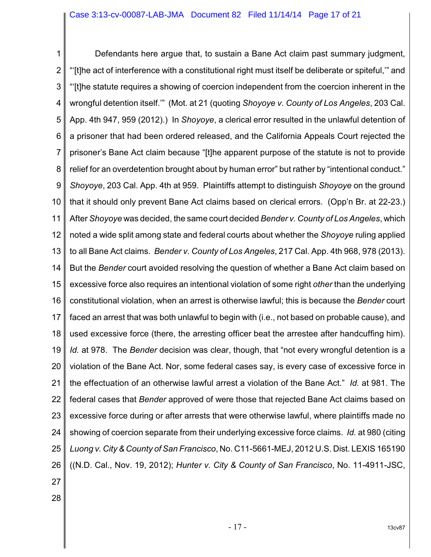1 2 3 4 5 6 7 8 9 10 11 12 13 14 15 16 17 18 19 20 21 22 23 24 25 26 27 Defendants here argue that, to sustain a Bane Act claim past summary judgment, "'[t]he act of interference with a constitutional right must itself be deliberate or spiteful,'" and "'[t]he statute requires a showing of coercion independent from the coercion inherent in the wrongful detention itself.'" (Mot. at 21 (quoting *Shoyoye v. County of Los Angeles*, 203 Cal. App. 4th 947, 959 (2012).) In *Shoyoye*, a clerical error resulted in the unlawful detention of a prisoner that had been ordered released, and the California Appeals Court rejected the prisoner's Bane Act claim because "[t]he apparent purpose of the statute is not to provide relief for an overdetention brought about by human error" but rather by "intentional conduct." *Shoyoye*, 203 Cal. App. 4th at 959. Plaintiffs attempt to distinguish *Shoyoye* on the ground that it should only prevent Bane Act claims based on clerical errors. (Opp'n Br. at 22-23.) After *Shoyoye* was decided, the same court decided *Bender v. County of Los Angeles*, which noted a wide split among state and federal courts about whether the *Shoyoye* ruling applied to all Bane Act claims. *Bender v. County of Los Angeles*, 217 Cal. App. 4th 968, 978 (2013). But the *Bender* court avoided resolving the question of whether a Bane Act claim based on excessive force also requires an intentional violation of some right *other* than the underlying constitutional violation, when an arrest is otherwise lawful; this is because the *Bender* court faced an arrest that was both unlawful to begin with (i.e., not based on probable cause), and used excessive force (there, the arresting officer beat the arrestee after handcuffing him). *Id.* at 978. The *Bender* decision was clear, though, that "not every wrongful detention is a violation of the Bane Act. Nor, some federal cases say, is every case of excessive force in the effectuation of an otherwise lawful arrest a violation of the Bane Act." *Id.* at 981. The federal cases that *Bender* approved of were those that rejected Bane Act claims based on excessive force during or after arrests that were otherwise lawful, where plaintiffs made no showing of coercion separate from their underlying excessive force claims. *Id.* at 980 (citing *Luong v. City & County of San Francisco*, No. C11-5661-MEJ, 2012 U.S. Dist. LEXIS 165190 ((N.D. Cal., Nov. 19, 2012); *Hunter v. City & County of San Francisco*, No. 11-4911-JSC,

- 
- 28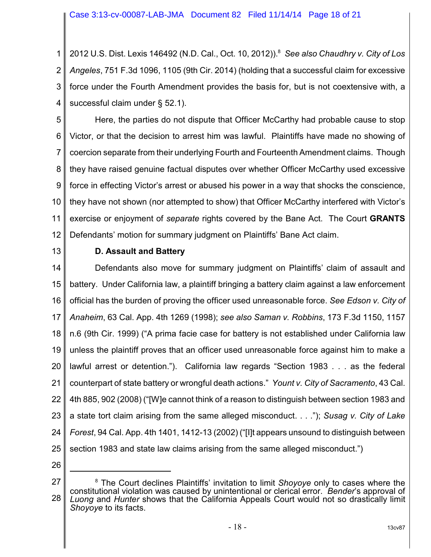Case 3:13-cv-00087-LAB-JMA Document 82 Filed 11/14/14 Page 18 of 21

1 2 3 4 2012 U.S. Dist. Lexis 146492 (N.D. Cal., Oct. 10, 2012)). *See also Chaudhry v. City of Los* <sup>8</sup> *Angeles*, 751 F.3d 1096, 1105 (9th Cir. 2014) (holding that a successful claim for excessive force under the Fourth Amendment provides the basis for, but is not coextensive with, a successful claim under § 52.1).

5 6 7 8 9 10 11 12 Here, the parties do not dispute that Officer McCarthy had probable cause to stop Victor, or that the decision to arrest him was lawful. Plaintiffs have made no showing of coercion separate from their underlying Fourth and Fourteenth Amendment claims. Though they have raised genuine factual disputes over whether Officer McCarthy used excessive force in effecting Victor's arrest or abused his power in a way that shocks the conscience, they have not shown (nor attempted to show) that Officer McCarthy interfered with Victor's exercise or enjoyment of *separate* rights covered by the Bane Act. The Court **GRANTS** Defendants' motion for summary judgment on Plaintiffs' Bane Act claim.

13

## **D. Assault and Battery**

14 15 16 17 18 19 20 21 22 23 24 25 Defendants also move for summary judgment on Plaintiffs' claim of assault and battery. Under California law, a plaintiff bringing a battery claim against a law enforcement official has the burden of proving the officer used unreasonable force. *See Edson v. City of Anaheim*, 63 Cal. App. 4th 1269 (1998); *see also Saman v. Robbins*, 173 F.3d 1150, 1157 n.6 (9th Cir. 1999) ("A prima facie case for battery is not established under California law unless the plaintiff proves that an officer used unreasonable force against him to make a lawful arrest or detention."). California law regards "Section 1983 . . . as the federal counterpart of state battery or wrongful death actions." *Yount v. City of Sacramento*, 43 Cal. 4th 885, 902 (2008) ("[W]e cannot think of a reason to distinguish between section 1983 and a state tort claim arising from the same alleged misconduct. . . ."); *Susag v. City of Lake Forest*, 94 Cal. App. 4th 1401, 1412-13 (2002) ("[I]t appears unsound to distinguish between section 1983 and state law claims arising from the same alleged misconduct.")

<sup>27</sup> 28 <sup>8</sup> The Court declines Plaintiffs' invitation to limit *Shoyoye* only to cases where the constitutional violation was caused by unintentional or clerical error. *Bender*'s approval of *Luong* and *Hunter* shows that the California Appeals Court would not so drastically limit *Shoyoye* to its facts.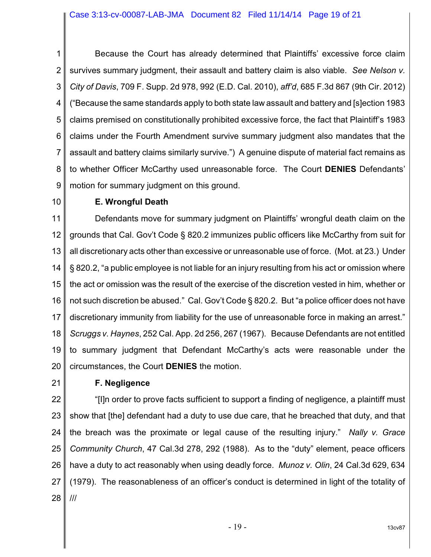1 2 3 4 5 6 7 8 9 Because the Court has already determined that Plaintiffs' excessive force claim survives summary judgment, their assault and battery claim is also viable. *See Nelson v. City of Davis*, 709 F. Supp. 2d 978, 992 (E.D. Cal. 2010), *aff'd*, 685 F.3d 867 (9th Cir. 2012) ("Because the same standards apply to both state law assault and battery and [s]ection 1983 claims premised on constitutionally prohibited excessive force, the fact that Plaintiff's 1983 claims under the Fourth Amendment survive summary judgment also mandates that the assault and battery claims similarly survive.") A genuine dispute of material fact remains as to whether Officer McCarthy used unreasonable force. The Court **DENIES** Defendants' motion for summary judgment on this ground.

10

# **E. Wrongful Death**

11 12 13 14 15 16 17 18 19 20 Defendants move for summary judgment on Plaintiffs' wrongful death claim on the grounds that Cal. Gov't Code § 820.2 immunizes public officers like McCarthy from suit for all discretionary acts other than excessive or unreasonable use of force. (Mot. at 23.) Under § 820.2, "a public employee is not liable for an injury resulting from his act or omission where the act or omission was the result of the exercise of the discretion vested in him, whether or not such discretion be abused." Cal. Gov't Code § 820.2. But "a police officer does not have discretionary immunity from liability for the use of unreasonable force in making an arrest." *Scruggs v. Haynes*, 252 Cal. App. 2d 256, 267 (1967). Because Defendants are not entitled to summary judgment that Defendant McCarthy's acts were reasonable under the circumstances, the Court **DENIES** the motion.

21

# **F. Negligence**

22 23 24 25 26 27 28 "[I]n order to prove facts sufficient to support a finding of negligence, a plaintiff must show that [the] defendant had a duty to use due care, that he breached that duty, and that the breach was the proximate or legal cause of the resulting injury." *Nally v. Grace Community Church*, 47 Cal.3d 278, 292 (1988). As to the "duty" element, peace officers have a duty to act reasonably when using deadly force. *Munoz v. Olin*, 24 Cal.3d 629, 634 (1979). The reasonableness of an officer's conduct is determined in light of the totality of ///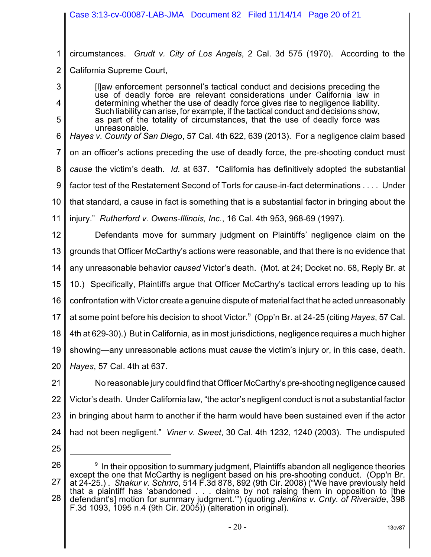# Case 3:13-cv-00087-LAB-JMA Document 82 Filed 11/14/14 Page 20 of 21

1 2 circumstances. *Grudt v. City of Los Angels*, 2 Cal. 3d 575 (1970). According to the California Supreme Court,

[l]aw enforcement personnel's tactical conduct and decisions preceding the use of deadly force are relevant considerations under California law in determining whether the use of deadly force gives rise to negligence liability. Such liability can arise, for example, if the tactical conduct and decisions show. as part of the totality of circumstances, that the use of deadly force was unreasonable.

6 7 8 9 10 *Hayes v. County of San Diego*, 57 Cal. 4th 622, 639 (2013). For a negligence claim based on an officer's actions preceding the use of deadly force, the pre-shooting conduct must *cause* the victim's death. *Id.* at 637. "California has definitively adopted the substantial factor test of the Restatement Second of Torts for cause-in-fact determinations . . . . Under that standard, a cause in fact is something that is a substantial factor in bringing about the

11 injury." *Rutherford v. Owens-Illinois, Inc.*, 16 Cal. 4th 953, 968-69 (1997).

12 13 14 15 16 17 18 19 20 Defendants move for summary judgment on Plaintiffs' negligence claim on the grounds that Officer McCarthy's actions were reasonable, and that there is no evidence that any unreasonable behavior *caused* Victor's death. (Mot. at 24; Docket no. 68, Reply Br. at 10.) Specifically, Plaintiffs argue that Officer McCarthy's tactical errors leading up to his confrontation with Victor create a genuine dispute of material fact that he acted unreasonably at some point before his decision to shoot Victor.<sup>9</sup> (Opp'n Br. at 24-25 (citing *Hayes*, 57 Cal. 4th at 629-30).) But in California, as in most jurisdictions, negligence requires a much higher showing—any unreasonable actions must *cause* the victim's injury or, in this case, death. *Hayes*, 57 Cal. 4th at 637.

21 22 23 24 No reasonable jury could find that Officer McCarthy's pre-shooting negligence caused Victor's death. Under California law, "the actor's negligent conduct is not a substantial factor in bringing about harm to another if the harm would have been sustained even if the actor had not been negligent." *Viner v. Sweet*, 30 Cal. 4th 1232, 1240 (2003). The undisputed

25

3

4

<sup>26</sup> 27 28  $9\,$  In their opposition to summary judgment, Plaintiffs abandon all negligence theories except the one that McCarthy is negligent based on his pre-shooting conduct. (Opp'n Br. at 24-25.) . *Shakur v. Schriro*, 514 F.3d 878, 892 (9th Cir. 2008) ("We have previously held that a plaintiff has 'abandoned . . . claims by not raising them in opposition to [the defendant's] motion for summary judgment.'") (quoting *Jenkins v. Cnty. of Riverside*, 398 F.3d 1093, 1095 n.4 (9th Cir. 2005)) (alteration in original).